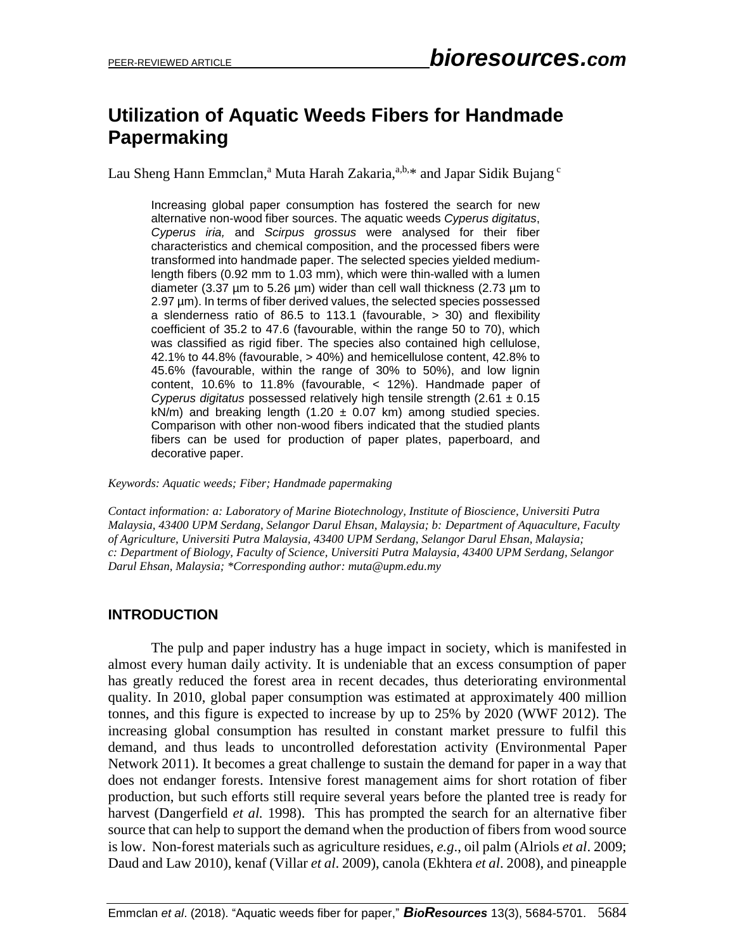# **Utilization of Aquatic Weeds Fibers for Handmade Papermaking**

Lau Sheng Hann Emmclan,<sup>a</sup> Muta Harah Zakaria,<sup>a,b,\*</sup> and Japar Sidik Bujang <sup>c</sup>

Increasing global paper consumption has fostered the search for new alternative non-wood fiber sources. The aquatic weeds *Cyperus digitatus*, *Cyperus iria,* and *Scirpus grossus* were analysed for their fiber characteristics and chemical composition, and the processed fibers were transformed into handmade paper. The selected species yielded mediumlength fibers (0.92 mm to 1.03 mm), which were thin-walled with a lumen diameter (3.37  $\mu$ m to 5.26  $\mu$ m) wider than cell wall thickness (2.73  $\mu$ m to 2.97 µm). In terms of fiber derived values, the selected species possessed a slenderness ratio of 86.5 to 113.1 (favourable, > 30) and flexibility coefficient of 35.2 to 47.6 (favourable, within the range 50 to 70), which was classified as rigid fiber. The species also contained high cellulose, 42.1% to 44.8% (favourable, > 40%) and hemicellulose content, 42.8% to 45.6% (favourable, within the range of 30% to 50%), and low lignin content, 10.6% to 11.8% (favourable, < 12%). Handmade paper of *Cyperus digitatus* possessed relatively high tensile strength (2.61 ± 0.15 kN/m) and breaking length (1.20  $\pm$  0.07 km) among studied species. Comparison with other non-wood fibers indicated that the studied plants fibers can be used for production of paper plates, paperboard, and decorative paper.

*Keywords: Aquatic weeds; Fiber; Handmade papermaking*

*Contact information: a: Laboratory of Marine Biotechnology, Institute of Bioscience, Universiti Putra Malaysia, 43400 UPM Serdang, Selangor Darul Ehsan, Malaysia; b: Department of Aquaculture, Faculty of Agriculture, Universiti Putra Malaysia, 43400 UPM Serdang, Selangor Darul Ehsan, Malaysia; c: Department of Biology, Faculty of Science, Universiti Putra Malaysia, 43400 UPM Serdang, Selangor Darul Ehsan, Malaysia; \*Corresponding author: muta@upm.edu.my*

#### **INTRODUCTION**

The pulp and paper industry has a huge impact in society, which is manifested in almost every human daily activity. It is undeniable that an excess consumption of paper has greatly reduced the forest area in recent decades, thus deteriorating environmental quality. In 2010, global paper consumption was estimated at approximately 400 million tonnes, and this figure is expected to increase by up to 25% by 2020 (WWF 2012). The increasing global consumption has resulted in constant market pressure to fulfil this demand, and thus leads to uncontrolled deforestation activity (Environmental Paper Network 2011). It becomes a great challenge to sustain the demand for paper in a way that does not endanger forests. Intensive forest management aims for short rotation of fiber production, but such efforts still require several years before the planted tree is ready for harvest (Dangerfield *et al.* 1998). This has prompted the search for an alternative fiber source that can help to support the demand when the production of fibers from wood source is low. Non-forest materials such as agriculture residues, *e.g*., oil palm (Alriols *et al*. 2009; Daud and Law 2010), kenaf (Villar *et al*. 2009), canola (Ekhtera *et al*. 2008), and pineapple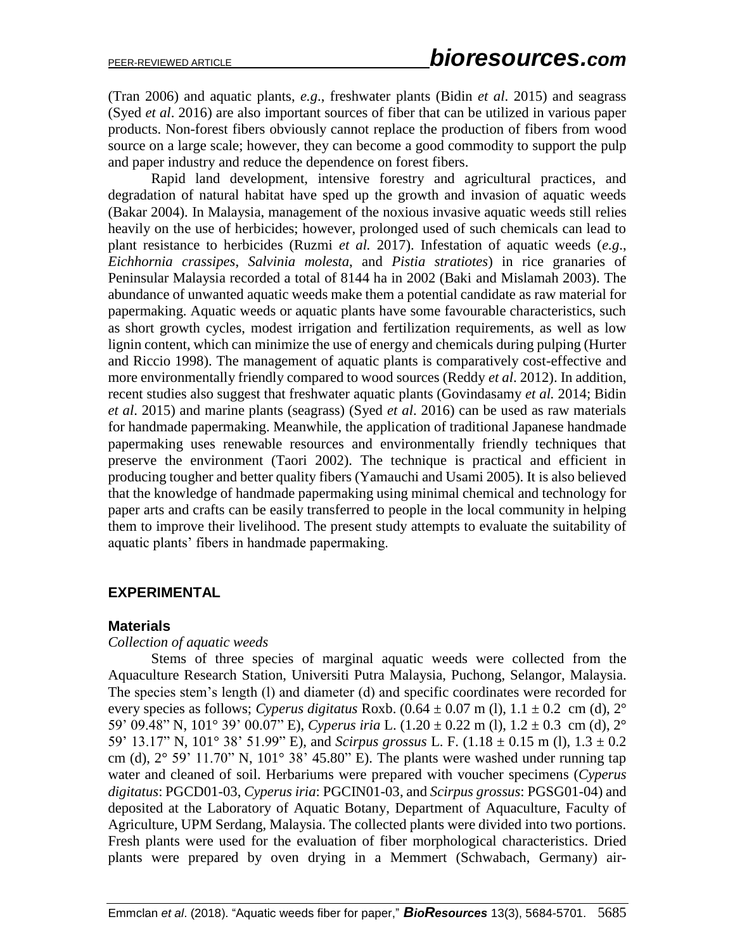(Tran 2006) and aquatic plants, *e.g*., freshwater plants (Bidin *et al*. 2015) and seagrass (Syed *et al*. 2016) are also important sources of fiber that can be utilized in various paper products. Non-forest fibers obviously cannot replace the production of fibers from wood source on a large scale; however, they can become a good commodity to support the pulp and paper industry and reduce the dependence on forest fibers.

Rapid land development, intensive forestry and agricultural practices, and degradation of natural habitat have sped up the growth and invasion of aquatic weeds (Bakar 2004). In Malaysia, management of the noxious invasive aquatic weeds still relies heavily on the use of herbicides; however, prolonged used of such chemicals can lead to plant resistance to herbicides (Ruzmi *et al.* 2017). Infestation of aquatic weeds (*e.g*., *Eichhornia crassipes*, *Salvinia molesta*, and *Pistia stratiotes*) in rice granaries of Peninsular Malaysia recorded a total of 8144 ha in 2002 (Baki and Mislamah 2003). The abundance of unwanted aquatic weeds make them a potential candidate as raw material for papermaking. Aquatic weeds or aquatic plants have some favourable characteristics, such as short growth cycles, modest irrigation and fertilization requirements, as well as low lignin content, which can minimize the use of energy and chemicals during pulping (Hurter and Riccio 1998). The management of aquatic plants is comparatively cost-effective and more environmentally friendly compared to wood sources (Reddy *et al*. 2012). In addition, recent studies also suggest that freshwater aquatic plants (Govindasamy *et al.* 2014; Bidin *et al*. 2015) and marine plants (seagrass) (Syed *et al*. 2016) can be used as raw materials for handmade papermaking. Meanwhile, the application of traditional Japanese handmade papermaking uses renewable resources and environmentally friendly techniques that preserve the environment (Taori 2002). The technique is practical and efficient in producing tougher and better quality fibers (Yamauchi and Usami 2005). It is also believed that the knowledge of handmade papermaking using minimal chemical and technology for paper arts and crafts can be easily transferred to people in the local community in helping them to improve their livelihood. The present study attempts to evaluate the suitability of aquatic plants' fibers in handmade papermaking.

#### **EXPERIMENTAL**

#### **Materials**

#### *Collection of aquatic weeds*

Stems of three species of marginal aquatic weeds were collected from the Aquaculture Research Station, Universiti Putra Malaysia, Puchong, Selangor, Malaysia. The species stem's length (l) and diameter (d) and specific coordinates were recorded for every species as follows; *Cyperus digitatus* Roxb.  $(0.64 \pm 0.07 \text{ m}$  (l),  $1.1 \pm 0.2 \text{ cm}$  (d),  $2^{\circ}$ 59' 09.48" N, 101° 39' 00.07" E), *Cyperus iria* L. (1.20 ± 0.22 m (l), 1.2 ± 0.3 cm (d), 2° 59' 13.17" N, 101° 38' 51.99" E), and *Scirpus grossus* L. F. (1.18 ± 0.15 m (l), 1.3 ± 0.2 cm (d),  $2^{\circ}$  59' 11.70" N,  $101^{\circ}$  38' 45.80" E). The plants were washed under running tap water and cleaned of soil. Herbariums were prepared with voucher specimens (*Cyperus digitatus*: PGCD01-03, *Cyperus iria*: PGCIN01-03, and *Scirpus grossus*: PGSG01-04) and deposited at the Laboratory of Aquatic Botany, Department of Aquaculture, Faculty of Agriculture, UPM Serdang, Malaysia. The collected plants were divided into two portions. Fresh plants were used for the evaluation of fiber morphological characteristics. Dried plants were prepared by oven drying in a Memmert (Schwabach, Germany) air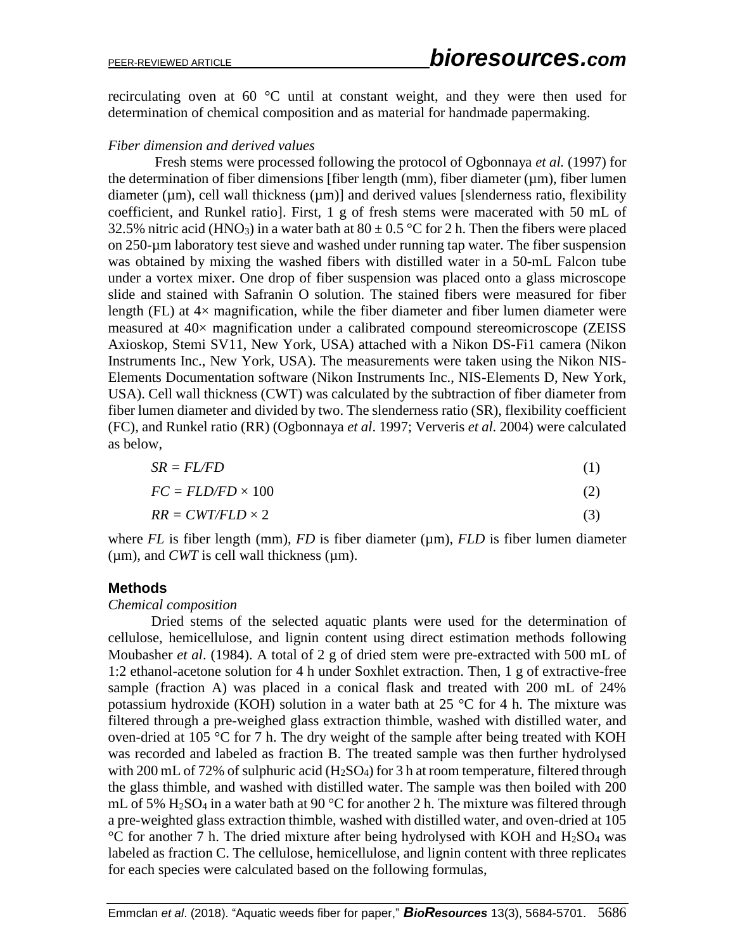recirculating oven at 60 °C until at constant weight, and they were then used for determination of chemical composition and as material for handmade papermaking.

#### *Fiber dimension and derived values*

Fresh stems were processed following the protocol of Ogbonnaya *et al.* (1997) for the determination of fiber dimensions [fiber length  $(nm)$ , fiber diameter  $(nm)$ , fiber lumen diameter ( $\mu$ m), cell wall thickness ( $\mu$ m)] and derived values [slenderness ratio, flexibility coefficient, and Runkel ratio]. First, 1 g of fresh stems were macerated with 50 mL of 32.5% nitric acid (HNO<sub>3</sub>) in a water bath at  $80 \pm 0.5$  °C for 2 h. Then the fibers were placed on 250-µm laboratory test sieve and washed under running tap water. The fiber suspension was obtained by mixing the washed fibers with distilled water in a 50-mL Falcon tube under a vortex mixer. One drop of fiber suspension was placed onto a glass microscope slide and stained with Safranin O solution. The stained fibers were measured for fiber length (FL) at  $4\times$  magnification, while the fiber diameter and fiber lumen diameter were measured at 40× magnification under a calibrated compound stereomicroscope (ZEISS Axioskop, Stemi SV11, New York, USA) attached with a Nikon DS-Fi1 camera (Nikon Instruments Inc., New York, USA). The measurements were taken using the Nikon NIS-Elements Documentation software (Nikon Instruments Inc., NIS-Elements D, New York, USA). Cell wall thickness (CWT) was calculated by the subtraction of fiber diameter from fiber lumen diameter and divided by two. The slenderness ratio (SR), flexibility coefficient (FC), and Runkel ratio (RR) (Ogbonnaya *et al*. 1997; Ververis *et al.* 2004) were calculated as below,

$$
SR = FL/FD \tag{1}
$$

$$
FC = FLD/FD \times 100 \tag{2}
$$

$$
RR = CWT/FLD \times 2 \tag{3}
$$

where  $FL$  is fiber length (mm),  $FD$  is fiber diameter ( $\mu$ m),  $FLD$  is fiber lumen diameter ( $\mu$ m), and *CWT* is cell wall thickness ( $\mu$ m).

## **Methods**

#### *Chemical composition*

Dried stems of the selected aquatic plants were used for the determination of cellulose, hemicellulose, and lignin content using direct estimation methods following Moubasher *et al*. (1984). A total of 2 g of dried stem were pre-extracted with 500 mL of 1:2 ethanol-acetone solution for 4 h under Soxhlet extraction. Then, 1 g of extractive-free sample (fraction A) was placed in a conical flask and treated with 200 mL of 24% potassium hydroxide (KOH) solution in a water bath at  $25 \degree C$  for 4 h. The mixture was filtered through a pre-weighed glass extraction thimble, washed with distilled water, and oven-dried at 105 °C for 7 h. The dry weight of the sample after being treated with KOH was recorded and labeled as fraction B. The treated sample was then further hydrolysed with 200 mL of 72% of sulphuric acid  $(H_2SO_4)$  for 3 h at room temperature, filtered through the glass thimble, and washed with distilled water. The sample was then boiled with 200 mL of 5%  $H_2SO_4$  in a water bath at 90 °C for another 2 h. The mixture was filtered through a pre-weighted glass extraction thimble, washed with distilled water, and oven-dried at 105  $^{\circ}$ C for another 7 h. The dried mixture after being hydrolysed with KOH and H<sub>2</sub>SO<sub>4</sub> was labeled as fraction C. The cellulose, hemicellulose, and lignin content with three replicates for each species were calculated based on the following formulas,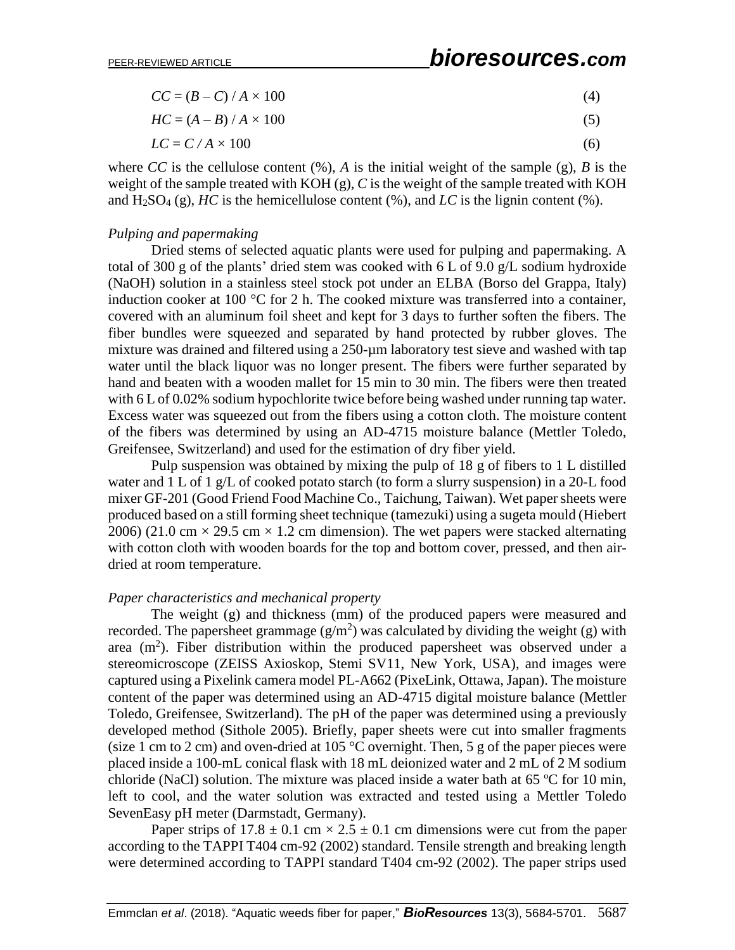| $CC = (B - C) / A \times 100$ |  |
|-------------------------------|--|
|                               |  |

$$
HC = (A - B) / A \times 100 \tag{5}
$$

$$
LC = C/A \times 100\tag{6}
$$

where *CC* is the cellulose content  $(\%)$ , *A* is the initial weight of the sample  $(g)$ , *B* is the weight of the sample treated with KOH (g), *C* is the weight of the sample treated with KOH and  $H_2SO_4(g)$ , *HC* is the hemicellulose content (%), and *LC* is the lignin content (%).

#### *Pulping and papermaking*

Dried stems of selected aquatic plants were used for pulping and papermaking. A total of 300 g of the plants' dried stem was cooked with 6 L of 9.0 g/L sodium hydroxide (NaOH) solution in a stainless steel stock pot under an ELBA (Borso del Grappa, Italy) induction cooker at 100 °C for 2 h. The cooked mixture was transferred into a container, covered with an aluminum foil sheet and kept for 3 days to further soften the fibers. The fiber bundles were squeezed and separated by hand protected by rubber gloves. The mixture was drained and filtered using a 250-um laboratory test sieve and washed with tap water until the black liquor was no longer present. The fibers were further separated by hand and beaten with a wooden mallet for 15 min to 30 min. The fibers were then treated with 6 L of 0.02% sodium hypochlorite twice before being washed under running tap water. Excess water was squeezed out from the fibers using a cotton cloth. The moisture content of the fibers was determined by using an AD-4715 moisture balance (Mettler Toledo, Greifensee, Switzerland) and used for the estimation of dry fiber yield.

Pulp suspension was obtained by mixing the pulp of 18 g of fibers to 1 L distilled water and 1 L of 1 g/L of cooked potato starch (to form a slurry suspension) in a 20-L food mixer GF-201 (Good Friend Food Machine Co., Taichung, Taiwan). Wet paper sheets were produced based on a still forming sheet technique (tamezuki) using a sugeta mould (Hiebert 2006) (21.0 cm  $\times$  29.5 cm  $\times$  1.2 cm dimension). The wet papers were stacked alternating with cotton cloth with wooden boards for the top and bottom cover, pressed, and then airdried at room temperature.

#### *Paper characteristics and mechanical property*

The weight (g) and thickness (mm) of the produced papers were measured and recorded. The papersheet grammage  $(g/m^2)$  was calculated by dividing the weight (g) with area  $(m<sup>2</sup>)$ . Fiber distribution within the produced papersheet was observed under a stereomicroscope (ZEISS Axioskop, Stemi SV11, New York, USA), and images were captured using a Pixelink camera model PL-A662 (PixeLink, Ottawa, Japan). The moisture content of the paper was determined using an AD-4715 digital moisture balance (Mettler Toledo, Greifensee, Switzerland). The pH of the paper was determined using a previously developed method (Sithole 2005). Briefly, paper sheets were cut into smaller fragments (size 1 cm to 2 cm) and oven-dried at 105  $\degree$ C overnight. Then, 5 g of the paper pieces were placed inside a 100-mL conical flask with 18 mL deionized water and 2 mL of 2 M sodium chloride (NaCl) solution. The mixture was placed inside a water bath at 65 ºC for 10 min, left to cool, and the water solution was extracted and tested using a Mettler Toledo SevenEasy pH meter (Darmstadt, Germany).

Paper strips of  $17.8 \pm 0.1$  cm  $\times 2.5 \pm 0.1$  cm dimensions were cut from the paper according to the TAPPI T404 cm-92 (2002) standard. Tensile strength and breaking length were determined according to TAPPI standard T404 cm-92 (2002). The paper strips used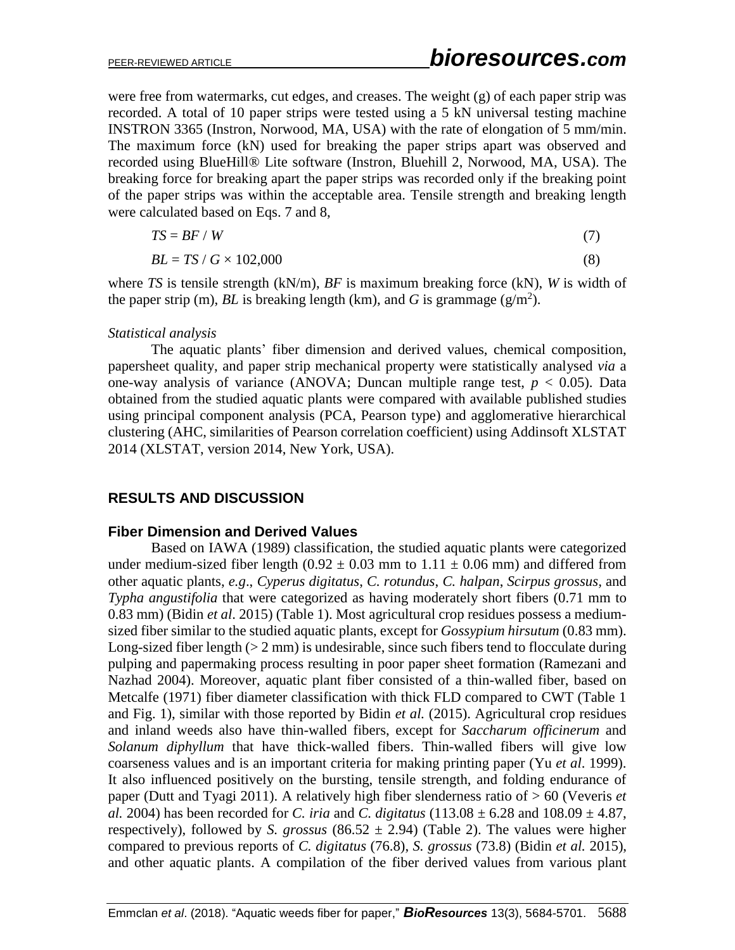were free from watermarks, cut edges, and creases. The weight (g) of each paper strip was recorded. A total of 10 paper strips were tested using a 5 kN universal testing machine INSTRON 3365 (Instron, Norwood, MA, USA) with the rate of elongation of 5 mm/min. The maximum force (kN) used for breaking the paper strips apart was observed and recorded using BlueHill® Lite software (Instron, Bluehill 2, Norwood, MA, USA). The breaking force for breaking apart the paper strips was recorded only if the breaking point of the paper strips was within the acceptable area. Tensile strength and breaking length were calculated based on Eqs. 7 and 8.

$$
TS = BF / W \tag{7}
$$

$$
BL = TS / G \times 102,000 \tag{8}
$$

where *TS* is tensile strength (kN/m), *BF* is maximum breaking force (kN), *W* is width of the paper strip (m),  $BL$  is breaking length (km), and  $G$  is grammage ( $g/m<sup>2</sup>$ ).

#### *Statistical analysis*

The aquatic plants' fiber dimension and derived values, chemical composition, papersheet quality, and paper strip mechanical property were statistically analysed *via* a one-way analysis of variance (ANOVA; Duncan multiple range test,  $p < 0.05$ ). Data obtained from the studied aquatic plants were compared with available published studies using principal component analysis (PCA, Pearson type) and agglomerative hierarchical clustering (AHC, similarities of Pearson correlation coefficient) using Addinsoft XLSTAT 2014 (XLSTAT, version 2014, New York, USA).

#### **RESULTS AND DISCUSSION**

#### **Fiber Dimension and Derived Values**

Based on IAWA (1989) classification, the studied aquatic plants were categorized under medium-sized fiber length (0.92  $\pm$  0.03 mm to 1.11  $\pm$  0.06 mm) and differed from other aquatic plants, *e.g*., *Cyperus digitatus*, *C. rotundus*, *C. halpan*, *Scirpus grossus,* and *Typha angustifolia* that were categorized as having moderately short fibers (0.71 mm to 0.83 mm) (Bidin *et al*. 2015) (Table 1). Most agricultural crop residues possess a mediumsized fiber similar to the studied aquatic plants, except for *Gossypium hirsutum* (0.83 mm). Long-sized fiber length  $(2 \text{ mm})$  is undesirable, since such fibers tend to flocculate during pulping and papermaking process resulting in poor paper sheet formation (Ramezani and Nazhad 2004). Moreover, aquatic plant fiber consisted of a thin-walled fiber, based on Metcalfe (1971) fiber diameter classification with thick FLD compared to CWT (Table 1 and Fig. 1), similar with those reported by Bidin *et al.* (2015). Agricultural crop residues and inland weeds also have thin-walled fibers, except for *Saccharum officinerum* and *Solanum diphyllum* that have thick-walled fibers. Thin-walled fibers will give low coarseness values and is an important criteria for making printing paper (Yu *et al*. 1999). It also influenced positively on the bursting, tensile strength, and folding endurance of paper (Dutt and Tyagi 2011). A relatively high fiber slenderness ratio of > 60 (Veveris *et al.* 2004) has been recorded for *C. iria* and *C. digitatus*  $(113.08 \pm 6.28$  and  $108.09 \pm 4.87$ , respectively), followed by *S. grossus* (86.52  $\pm$  2.94) (Table 2). The values were higher compared to previous reports of *C. digitatus* (76.8), *S. grossus* (73.8) (Bidin *et al.* 2015), and other aquatic plants. A compilation of the fiber derived values from various plant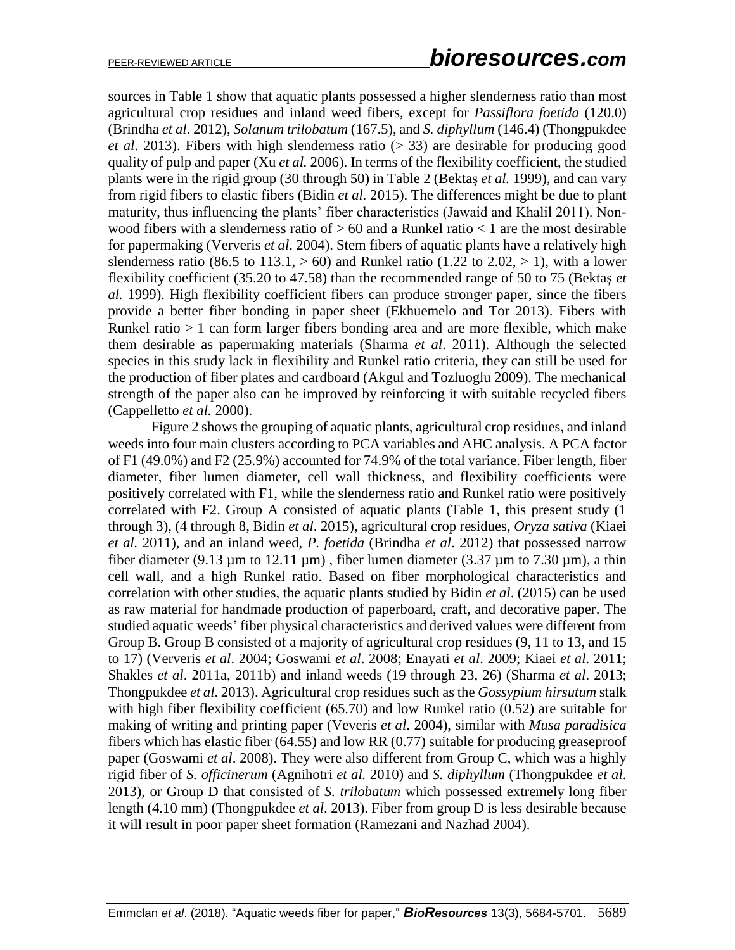sources in Table 1 show that aquatic plants possessed a higher slenderness ratio than most agricultural crop residues and inland weed fibers, except for *Passiflora foetida* (120.0) (Brindha *et al*. 2012), *Solanum trilobatum* (167.5), and *S. diphyllum* (146.4) (Thongpukdee *et al*. 2013). Fibers with high slenderness ratio (> 33) are desirable for producing good quality of pulp and paper (Xu *et al.* 2006). In terms of the flexibility coefficient, the studied plants were in the rigid group (30 through 50) in Table 2 (Bektaş *et al.* 1999), and can vary from rigid fibers to elastic fibers (Bidin *et al.* 2015). The differences might be due to plant maturity, thus influencing the plants' fiber characteristics (Jawaid and Khalil 2011). Nonwood fibers with a slenderness ratio of  $> 60$  and a Runkel ratio  $< 1$  are the most desirable for papermaking (Ververis *et al*. 2004). Stem fibers of aquatic plants have a relatively high slenderness ratio (86.5 to 113.1,  $> 60$ ) and Runkel ratio (1.22 to 2.02,  $> 1$ ), with a lower flexibility coefficient (35.20 to 47.58) than the recommended range of 50 to 75 (Bektaş *et al.* 1999). High flexibility coefficient fibers can produce stronger paper, since the fibers provide a better fiber bonding in paper sheet (Ekhuemelo and Tor 2013). Fibers with Runkel ratio  $> 1$  can form larger fibers bonding area and are more flexible, which make them desirable as papermaking materials (Sharma *et al*. 2011). Although the selected species in this study lack in flexibility and Runkel ratio criteria, they can still be used for the production of fiber plates and cardboard (Akgul and Tozluoglu 2009). The mechanical strength of the paper also can be improved by reinforcing it with suitable recycled fibers (Cappelletto *et al.* 2000).

Figure 2 shows the grouping of aquatic plants, agricultural crop residues, and inland weeds into four main clusters according to PCA variables and AHC analysis. A PCA factor of F1 (49.0%) and F2 (25.9%) accounted for 74.9% of the total variance. Fiber length, fiber diameter, fiber lumen diameter, cell wall thickness, and flexibility coefficients were positively correlated with F1, while the slenderness ratio and Runkel ratio were positively correlated with F2. Group A consisted of aquatic plants (Table 1, this present study (1 through 3), (4 through 8, Bidin *et al*. 2015), agricultural crop residues, *Oryza sativa* (Kiaei *et al.* 2011), and an inland weed, *P. foetida* (Brindha *et al*. 2012) that possessed narrow fiber diameter (9.13  $\mu$ m to 12.11  $\mu$ m), fiber lumen diameter (3.37  $\mu$ m to 7.30  $\mu$ m), a thin cell wall, and a high Runkel ratio. Based on fiber morphological characteristics and correlation with other studies, the aquatic plants studied by Bidin *et al*. (2015) can be used as raw material for handmade production of paperboard, craft, and decorative paper. The studied aquatic weeds' fiber physical characteristics and derived values were different from Group B. Group B consisted of a majority of agricultural crop residues (9, 11 to 13, and 15 to 17) (Ververis *et al*. 2004; Goswami *et al*. 2008; Enayati *et al*. 2009; Kiaei *et al*. 2011; Shakles *et al*. 2011a, 2011b) and inland weeds (19 through 23, 26) (Sharma *et al*. 2013; Thongpukdee *et al*. 2013). Agricultural crop residues such as the *Gossypium hirsutum* stalk with high fiber flexibility coefficient (65.70) and low Runkel ratio (0.52) are suitable for making of writing and printing paper (Veveris *et al*. 2004), similar with *Musa paradisica* fibers which has elastic fiber (64.55) and low RR (0.77) suitable for producing greaseproof paper (Goswami *et al*. 2008). They were also different from Group C, which was a highly rigid fiber of *S. officinerum* (Agnihotri *et al.* 2010) and *S. diphyllum* (Thongpukdee *et al*. 2013), or Group D that consisted of *S. trilobatum* which possessed extremely long fiber length (4.10 mm) (Thongpukdee *et al*. 2013). Fiber from group D is less desirable because it will result in poor paper sheet formation (Ramezani and Nazhad 2004).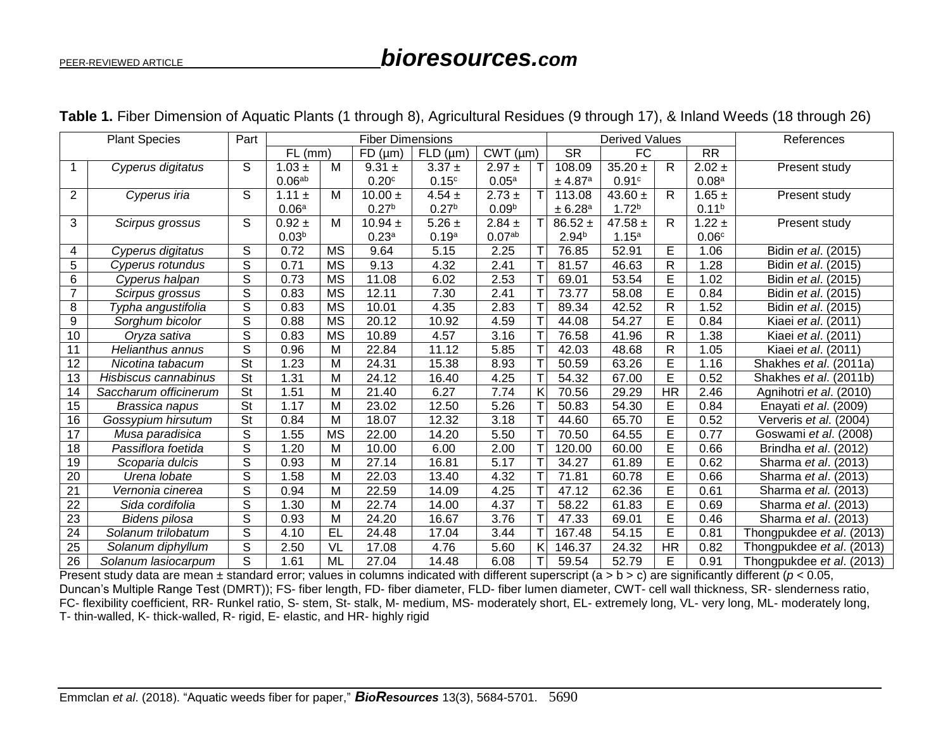# PEER-REVIEWED ARTICLE *bioresources.com*

|                 | <b>Plant Species</b>  | Part           |                    |           | <b>Fiber Dimensions</b> |                   | <b>Derived Values</b> |   |                     | References        |              |                   |                           |  |
|-----------------|-----------------------|----------------|--------------------|-----------|-------------------------|-------------------|-----------------------|---|---------------------|-------------------|--------------|-------------------|---------------------------|--|
|                 |                       |                | FL(mm)             |           | FD (µm)                 | FLD (µm)          | CWT (µm)              |   | <b>SR</b>           | <b>FC</b>         |              | <b>RR</b>         |                           |  |
| 1               | Cyperus digitatus     | S              | $1.03 \pm$         | м         | $9.31 \pm$              | $3.37 \pm$        | $2.97 \pm$            |   | 108.09              | $35.20 \pm$       | R            | $2.02 \pm$        | Present study             |  |
|                 |                       |                | 0.06 <sup>ab</sup> |           | 0.20 <sup>c</sup>       | 0.15 <sup>c</sup> | 0.05a                 |   | ± 4.87 <sup>a</sup> | 0.91c             |              | 0.08 <sup>a</sup> |                           |  |
| $\overline{2}$  | Cyperus iria          | S              | 1.11 $\pm$         | M         | $10.00 \pm$             | $4.54 \pm$        | $2.73 \pm$            |   | 113.08              | 43.60 $\pm$       | $\mathsf{R}$ | $1.65 \pm$        | Present study             |  |
|                 |                       |                | 0.06 <sup>a</sup>  |           | 0.27 <sup>b</sup>       | 0.27 <sup>b</sup> | 0.09 <sup>b</sup>     |   | ± 6.28a             | 1.72 <sup>b</sup> |              | 0.11 <sup>b</sup> |                           |  |
| 3               | Scirpus grossus       | S              | $0.92 \pm$         | M         | $10.94 \pm$             | $5.26 \pm$        | $2.84 \pm$            |   | $86.52 \pm$         | 47.58 $\pm$       | R            | $1.22 \pm$        | Present study             |  |
|                 |                       |                | 0.03 <sup>b</sup>  |           | 0.23 <sup>a</sup>       | 0.19a             | 0.07 <sup>ab</sup>    |   | 2.94 <sup>b</sup>   | 1.15 <sup>a</sup> |              | 0.06c             |                           |  |
| 4               | Cyperus digitatus     | S              | 0.72               | <b>MS</b> | 9.64                    | 5.15              | 2.25                  |   | 76.85               | 52.91             | E            | 1.06              | Bidin et al. (2015)       |  |
| 5               | Cyperus rotundus      | S              | 0.71               | <b>MS</b> | 9.13                    | 4.32              | 2.41                  |   | 81.57               | 46.63             | $\mathsf{R}$ | 1.28              | Bidin et al. (2015)       |  |
| 6               | Cyperus halpan        | S              | 0.73               | <b>MS</b> | 11.08                   | 6.02              | 2.53                  |   | 69.01               | 53.54             | E            | 1.02              | Bidin et al. (2015)       |  |
| $\overline{7}$  | Scirpus grossus       | S              | 0.83               | <b>MS</b> | 12.11                   | 7.30              | 2.41                  |   | 73.77               | 58.08             | E            | 0.84              | Bidin et al. (2015)       |  |
| 8               | Typha angustifolia    | S              | 0.83               | <b>MS</b> | 10.01                   | 4.35              | 2.83                  |   | 89.34               | 42.52             | $\mathsf{R}$ | 1.52              | Bidin et al. (2015)       |  |
| 9               | Sorghum bicolor       | S              | 0.88               | <b>MS</b> | 20.12                   | 10.92             | 4.59                  |   | 44.08               | 54.27             | E            | 0.84              | Kiaei et al. (2011)       |  |
| 10              | Oryza sativa          | S              | 0.83               | <b>MS</b> | 10.89                   | 4.57              | 3.16                  |   | 76.58               | 41.96             | R            | 1.38              | Kiaei et al. (2011)       |  |
| 11              | Helianthus annus      | $\overline{s}$ | 0.96               | M         | 22.84                   | 11.12             | 5.85                  |   | 42.03               | 48.68             | $\mathsf{R}$ | 1.05              | Kiaei et al. (2011)       |  |
| 12              | Nicotina tabacum      | <b>St</b>      | 1.23               | M         | 24.31                   | 15.38             | 8.93                  |   | 50.59               | 63.26             | E            | 1.16              | Shakhes et al. (2011a)    |  |
| 13              | Hisbiscus cannabinus  | <b>St</b>      | 1.31               | M         | 24.12                   | 16.40             | 4.25                  |   | 54.32               | 67.00             | E            | 0.52              | Shakhes et al. (2011b)    |  |
| 14              | Saccharum officinerum | <b>St</b>      | 1.51               | M         | 21.40                   | 6.27              | 7.74                  | Κ | 70.56               | 29.29             | HR           | 2.46              | Agnihotri et al. (2010)   |  |
| 15              | Brassica napus        | <b>St</b>      | 1.17               | M         | 23.02                   | 12.50             | 5.26                  |   | 50.83               | 54.30             | Е            | 0.84              | Enayati et al. (2009)     |  |
| 16              | Gossypium hirsutum    | <b>St</b>      | 0.84               | M         | 18.07                   | 12.32             | 3.18                  |   | 44.60               | 65.70             | E            | 0.52              | Ververis et al. (2004)    |  |
| 17              | Musa paradisica       | S              | 1.55               | <b>MS</b> | 22.00                   | 14.20             | 5.50                  |   | 70.50               | 64.55             | E            | 0.77              | Goswami et al. (2008)     |  |
| 18              | Passiflora foetida    | S              | 1.20               | M         | 10.00                   | 6.00              | 2.00                  |   | 120.00              | 60.00             | E            | 0.66              | Brindha et al. (2012)     |  |
| 19              | Scoparia dulcis       | S              | 0.93               | M         | 27.14                   | 16.81             | 5.17                  |   | 34.27               | 61.89             | E            | 0.62              | Sharma et al. (2013)      |  |
| 20              | Urena lobate          | S              | 1.58               | M         | 22.03                   | 13.40             | 4.32                  |   | 71.81               | 60.78             | Е            | 0.66              | Sharma et al. (2013)      |  |
| 21              | Vernonia cinerea      | S              | 0.94               | M         | 22.59                   | 14.09             | 4.25                  |   | 47.12               | 62.36             | Е            | 0.61              | Sharma et al. (2013)      |  |
| 22              | Sida cordifolia       | S              | 1.30               | M         | 22.74                   | 14.00             | 4.37                  |   | 58.22               | 61.83             | E            | 0.69              | Sharma et al. (2013)      |  |
| $\overline{23}$ | Bidens pilosa         | S              | 0.93               | M         | 24.20                   | 16.67             | 3.76                  |   | 47.33               | 69.01             | E            | 0.46              | Sharma et al. (2013)      |  |
| 24              | Solanum trilobatum    | S              | 4.10               | EL        | 24.48                   | 17.04             | 3.44                  |   | 167.48              | 54.15             | E            | 0.81              | Thongpukdee et al. (2013) |  |
| 25              | Solanum diphyllum     | S              | 2.50               | VL        | 17.08                   | 4.76              | 5.60                  |   | 146.37              | 24.32             | HR           | 0.82              | Thongpukdee et al. (2013) |  |
| 26              | Solanum lasiocarpum   | S              | 1.61               | <b>ML</b> | 27.04                   | 14.48             | 6.08                  |   | 59.54               | 52.79             | E            | 0.91              | Thongpukdee et al. (2013) |  |

## **Table 1.** Fiber Dimension of Aquatic Plants (1 through 8), Agricultural Residues (9 through 17), & Inland Weeds (18 through 26)

Present study data are mean ± standard error; values in columns indicated with different superscript (a > b > c) are significantly different (*p* < 0.05, Duncan's Multiple Range Test (DMRT)); FS- fiber length, FD- fiber diameter, FLD- fiber lumen diameter, CWT- cell wall thickness, SR- slenderness ratio, FC- flexibility coefficient, RR- Runkel ratio, S- stem, St- stalk, M- medium, MS- moderately short, EL- extremely long, VL- very long, ML- moderately long, T- thin-walled, K- thick-walled, R- rigid, E- elastic, and HR- highly rigid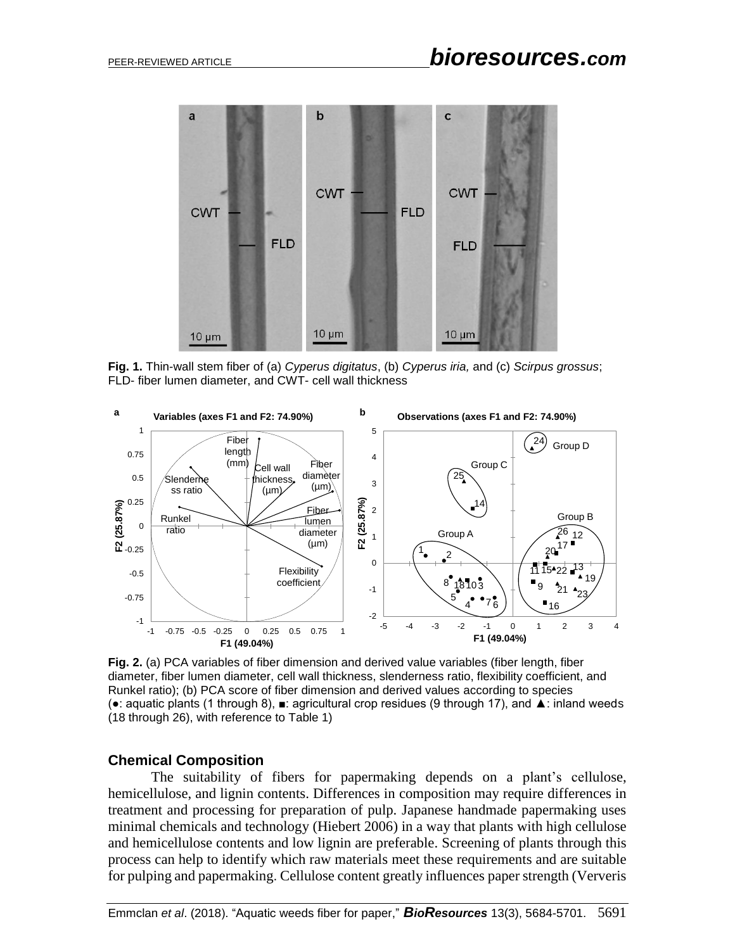

**Fig. 1.** Thin-wall stem fiber of (a) *Cyperus digitatus*, (b) *Cyperus iria,* and (c) *Scirpus grossus*; FLD- fiber lumen diameter, and CWT- cell wall thickness



**Fig. 2.** (a) PCA variables of fiber dimension and derived value variables (fiber length, fiber diameter, fiber lumen diameter, cell wall thickness, slenderness ratio, flexibility coefficient, and Runkel ratio); (b) PCA score of fiber dimension and derived values according to species (●: aquatic plants (1 through 8), ■: agricultural crop residues (9 through 17), and ▲: inland weeds (18 through 26), with reference to Table 1)

#### **Chemical Composition**

The suitability of fibers for papermaking depends on a plant's cellulose, hemicellulose, and lignin contents. Differences in composition may require differences in treatment and processing for preparation of pulp. Japanese handmade papermaking uses minimal chemicals and technology (Hiebert 2006) in a way that plants with high cellulose and hemicellulose contents and low lignin are preferable. Screening of plants through this process can help to identify which raw materials meet these requirements and are suitable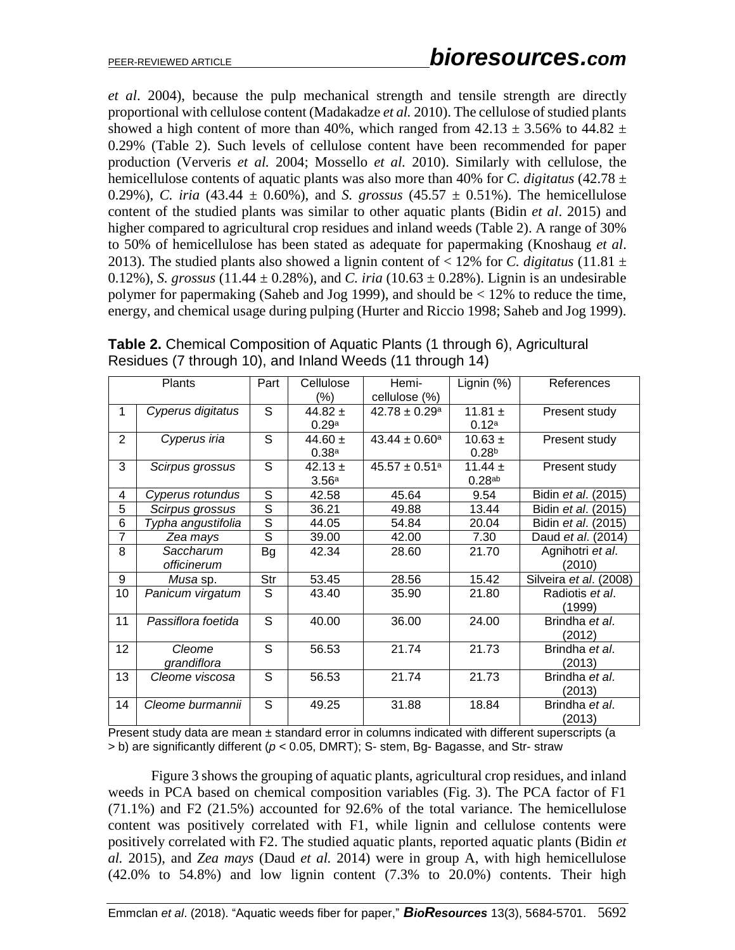*et al*. 2004), because the pulp mechanical strength and tensile strength are directly proportional with cellulose content (Madakadze *et al.* 2010). The cellulose of studied plants showed a high content of more than 40%, which ranged from  $42.13 \pm 3.56\%$  to  $44.82 \pm 1.5$ 0.29% (Table 2). Such levels of cellulose content have been recommended for paper production (Ververis *et al.* 2004; Mossello *et al.* 2010). Similarly with cellulose, the hemicellulose contents of aquatic plants was also more than 40% for *C. digitatus* (42.78 ± 0.29%), *C. iria* (43.44  $\pm$  0.60%), and *S. grossus* (45.57  $\pm$  0.51%). The hemicellulose content of the studied plants was similar to other aquatic plants (Bidin *et al*. 2015) and higher compared to agricultural crop residues and inland weeds (Table 2). A range of 30% to 50% of hemicellulose has been stated as adequate for papermaking (Knoshaug *et al*. 2013). The studied plants also showed a lignin content of  $<$  12% for *C. digitatus* (11.81  $\pm$ 0.12%), *S. grossus* (11.44  $\pm$  0.28%), and *C. iria* (10.63  $\pm$  0.28%). Lignin is an undesirable polymer for papermaking (Saheb and Jog 1999), and should be < 12% to reduce the time, energy, and chemical usage during pulping (Hurter and Riccio 1998; Saheb and Jog 1999).

| <b>Plants</b>  |                    | Part                     | Cellulose         | Hemi-                         | Lignin (%)         | References                 |  |
|----------------|--------------------|--------------------------|-------------------|-------------------------------|--------------------|----------------------------|--|
|                |                    |                          | (%)               | cellulose (%)                 |                    |                            |  |
| 1              | Cyperus digitatus  | S                        | 44.82 $\pm$       | $42.78 \pm 0.29^{\circ}$      | 11.81 $\pm$        | Present study              |  |
|                |                    |                          | 0.29a             |                               | 0.12a              |                            |  |
| 2              | Cyperus iria       | S                        | 44.60 $\pm$       | $43.44 \pm 0.60^a$            | $10.63 \pm$        | Present study              |  |
|                |                    |                          | 0.38 <sup>a</sup> |                               | 0.28 <sup>b</sup>  |                            |  |
| 3              | Scirpus grossus    | S                        | $42.13 \pm$       | $45.57 \pm 0.51$ <sup>a</sup> | 11.44 $\pm$        | Present study              |  |
|                |                    |                          | 3.56 <sup>a</sup> |                               | 0.28 <sup>ab</sup> |                            |  |
| 4              | Cyperus rotundus   | S                        | 42.58             | 45.64                         | 9.54               | Bidin et al. (2015)        |  |
| 5              | Scirpus grossus    | $\overline{\mathcal{S}}$ | 36.21             | 49.88                         | 13.44              | Bidin <i>et al.</i> (2015) |  |
| 6              | Typha angustifolia | $\overline{\mathsf{s}}$  | 44.05             | 54.84                         | 20.04              | Bidin et al. (2015)        |  |
| $\overline{7}$ | Zea mays           | $\overline{s}$           | 39.00             | 42.00                         | 7.30               | Daud et al. (2014)         |  |
| 8              | Saccharum          | Bg                       | 42.34             | 28.60                         | 21.70              | Agnihotri et al.           |  |
|                | officinerum        |                          |                   |                               |                    | (2010)                     |  |
| 9              | <i>Musa</i> sp.    | Str                      | 53.45             | 28.56                         | 15.42              | Silveira et al. (2008)     |  |
| 10             | Panicum virgatum   | S                        | 43.40             | 35.90                         | 21.80              | Radiotis et al.            |  |
|                |                    |                          |                   |                               |                    | (1999)                     |  |
| 11             | Passiflora foetida | S                        | 40.00             | 36.00                         | 24.00              | Brindha et al.             |  |
|                |                    |                          |                   |                               |                    | (2012)                     |  |
| 12             | Cleome             | S                        | 56.53             | 21.74                         | 21.73              | Brindha et al.             |  |
|                | grandiflora        |                          |                   |                               |                    | (2013)                     |  |
| 13             | Cleome viscosa     | S                        | 56.53             | 21.74                         | 21.73              | Brindha et al.             |  |
|                |                    |                          |                   |                               |                    | (2013)                     |  |
| 14             | Cleome burmannii   | S                        | 49.25             | 31.88                         | 18.84              | Brindha et al.             |  |
|                |                    |                          |                   |                               |                    | (2013)                     |  |

**Table 2.** Chemical Composition of Aquatic Plants (1 through 6), Agricultural Residues (7 through 10), and Inland Weeds (11 through 14)

Present study data are mean ± standard error in columns indicated with different superscripts (a > b) are significantly different (*p* < 0.05, DMRT); S- stem, Bg- Bagasse, and Str- straw

Figure 3 shows the grouping of aquatic plants, agricultural crop residues, and inland weeds in PCA based on chemical composition variables (Fig. 3). The PCA factor of F1 (71.1%) and F2 (21.5%) accounted for 92.6% of the total variance. The hemicellulose content was positively correlated with F1, while lignin and cellulose contents were positively correlated with F2. The studied aquatic plants, reported aquatic plants (Bidin *et al.* 2015), and *Zea mays* (Daud *et al.* 2014) were in group A, with high hemicellulose  $(42.0\%$  to 54.8%) and low lignin content  $(7.3\%$  to 20.0%) contents. Their high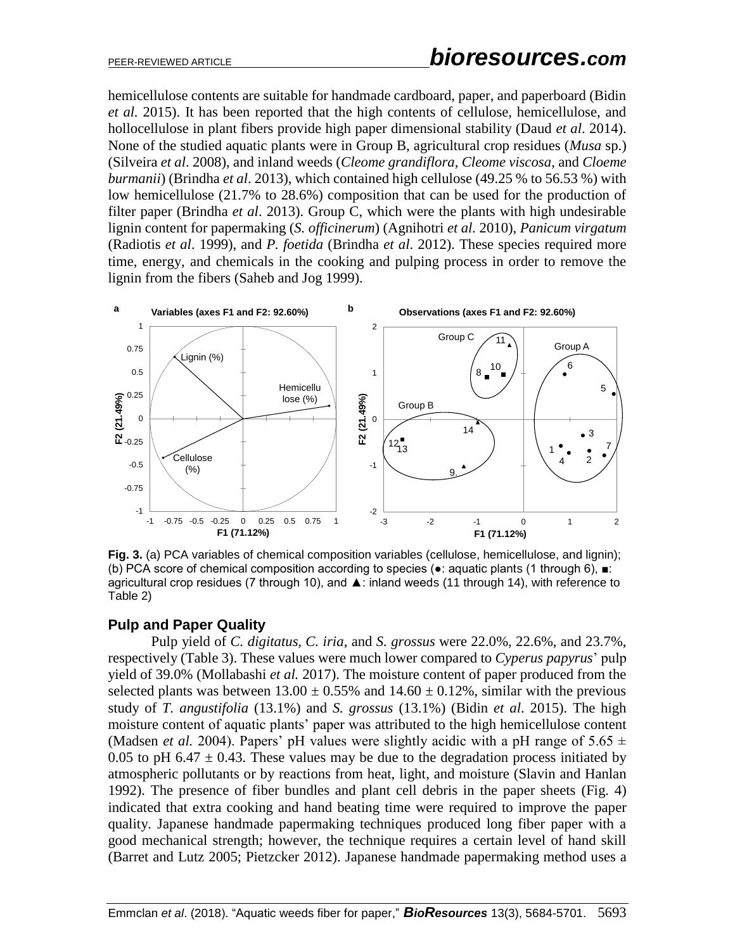hemicellulose contents are suitable for handmade cardboard, paper, and paperboard (Bidin *et al.* 2015). It has been reported that the high contents of cellulose, hemicellulose, and hollocellulose in plant fibers provide high paper dimensional stability (Daud *et al*. 2014). None of the studied aquatic plants were in Group B, agricultural crop residues (*Musa* sp.) (Silveira *et al*. 2008), and inland weeds (*Cleome grandiflora*, *Cleome viscosa*, and *Cloeme burmanii*) (Brindha *et al*. 2013), which contained high cellulose (49.25 % to 56.53 %) with low hemicellulose (21.7% to 28.6%) composition that can be used for the production of filter paper (Brindha *et al*. 2013). Group C, which were the plants with high undesirable lignin content for papermaking (*S. officinerum*) (Agnihotri *et al.* 2010), *Panicum virgatum* (Radiotis *et al*. 1999), and *P. foetida* (Brindha *et al*. 2012). These species required more time, energy, and chemicals in the cooking and pulping process in order to remove the lignin from the fibers (Saheb and Jog 1999).



**Fig. 3.** (a) PCA variables of chemical composition variables (cellulose, hemicellulose, and lignin); (b) PCA score of chemical composition according to species (●: aquatic plants (1 through 6), ■: agricultural crop residues (7 through 10), and ▲: inland weeds (11 through 14), with reference to Table 2)

## **Pulp and Paper Quality**

Pulp yield of *C. digitatus, C. iria*, and *S. grossus* were 22.0%, 22.6%, and 23.7%, respectively (Table 3). These values were much lower compared to *Cyperus papyrus*' pulp yield of 39.0% (Mollabashi *et al.* 2017). The moisture content of paper produced from the selected plants was between  $13.00 \pm 0.55\%$  and  $14.60 \pm 0.12\%$ , similar with the previous study of *T. angustifolia* (13.1%) and *S. grossus* (13.1%) (Bidin *et al*. 2015). The high moisture content of aquatic plants' paper was attributed to the high hemicellulose content (Madsen *et al.* 2004). Papers' pH values were slightly acidic with a pH range of  $5.65 \pm$ 0.05 to pH 6.47  $\pm$  0.43. These values may be due to the degradation process initiated by atmospheric pollutants or by reactions from heat, light, and moisture (Slavin and Hanlan 1992). The presence of fiber bundles and plant cell debris in the paper sheets (Fig. 4) indicated that extra cooking and hand beating time were required to improve the paper quality. Japanese handmade papermaking techniques produced long fiber paper with a good mechanical strength; however, the technique requires a certain level of hand skill (Barret and Lutz 2005; Pietzcker 2012). Japanese handmade papermaking method uses a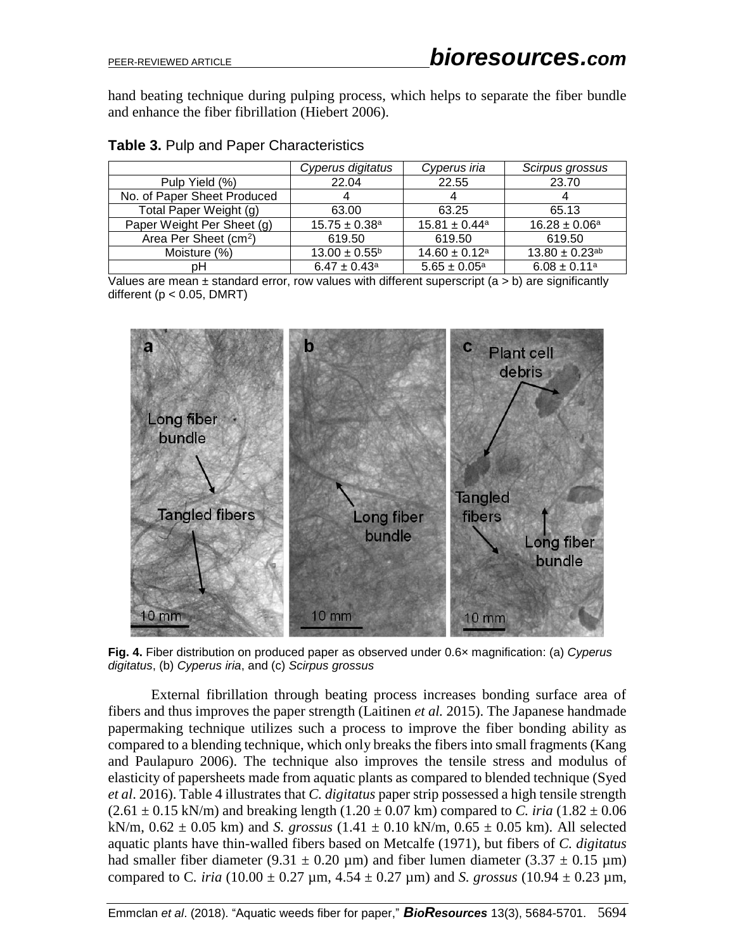hand beating technique during pulping process, which helps to separate the fiber bundle and enhance the fiber fibrillation (Hiebert 2006).

|                                   | Cyperus digitatus             | Cyperus iria                  | Scirpus grossus                |
|-----------------------------------|-------------------------------|-------------------------------|--------------------------------|
| Pulp Yield (%)                    | 22.04                         | 22.55                         | 23.70                          |
| No. of Paper Sheet Produced       | 4                             | 4                             | 4                              |
| Total Paper Weight (g)            | 63.00                         | 63.25                         | 65.13                          |
| Paper Weight Per Sheet (g)        | $15.75 \pm 0.38$ <sup>a</sup> | $15.81 \pm 0.44$ <sup>a</sup> | $16.28 \pm 0.06^a$             |
| Area Per Sheet (cm <sup>2</sup> ) | 619.50                        | 619.50                        | 619.50                         |
| Moisture (%)                      | $13.00 \pm 0.55^{\circ}$      | $14.60 \pm 0.12$ <sup>a</sup> | $13.80 \pm 0.23$ <sup>ab</sup> |
| pН                                | $6.47 \pm 0.43$ <sup>a</sup>  | $5.65 \pm 0.05^{\text{a}}$    | $6.08 \pm 0.11$ <sup>a</sup>   |

## **Table 3.** Pulp and Paper Characteristics

Values are mean  $\pm$  standard error, row values with different superscript (a > b) are significantly different ( $p < 0.05$ , DMRT)



**Fig. 4.** Fiber distribution on produced paper as observed under 0.6× magnification: (a) *Cyperus digitatus*, (b) *Cyperus iria*, and (c) *Scirpus grossus*

External fibrillation through beating process increases bonding surface area of fibers and thus improves the paper strength (Laitinen *et al.* 2015). The Japanese handmade papermaking technique utilizes such a process to improve the fiber bonding ability as compared to a blending technique, which only breaks the fibers into small fragments (Kang and Paulapuro 2006). The technique also improves the tensile stress and modulus of elasticity of papersheets made from aquatic plants as compared to blended technique (Syed *et al*. 2016). Table 4 illustrates that *C. digitatus* paper strip possessed a high tensile strength  $(2.61 \pm 0.15 \text{ kN/m})$  and breaking length  $(1.20 \pm 0.07 \text{ km})$  compared to *C. iria*  $(1.82 \pm 0.06 \text{ m})$ kN/m,  $0.62 \pm 0.05$  km) and *S. grossus*  $(1.41 \pm 0.10$  kN/m,  $0.65 \pm 0.05$  km). All selected aquatic plants have thin-walled fibers based on Metcalfe (1971), but fibers of *C. digitatus* had smaller fiber diameter (9.31  $\pm$  0.20 µm) and fiber lumen diameter (3.37  $\pm$  0.15 µm) compared to C. *iria*  $(10.00 \pm 0.27 \,\mu \text{m}, 4.54 \pm 0.27 \,\mu \text{m})$  and *S. grossus*  $(10.94 \pm 0.23 \,\mu \text{m},$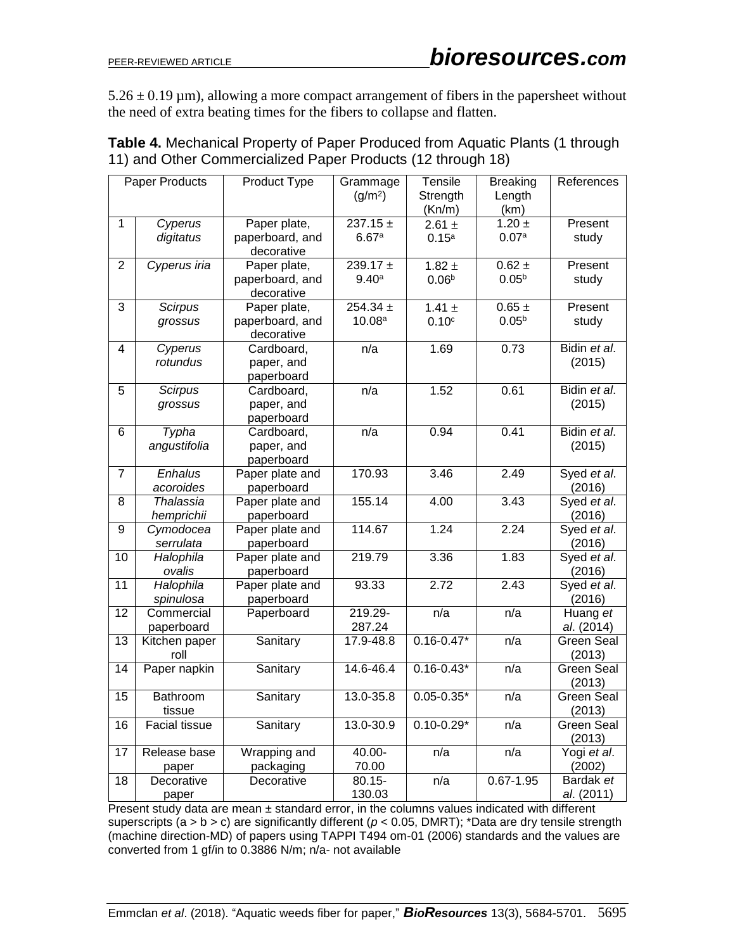$5.26 \pm 0.19 \,\mu$ m), allowing a more compact arrangement of fibers in the papersheet without the need of extra beating times for the fibers to collapse and flatten.

| Paper Products |                                | Product Type                                  | Grammage<br>(g/m <sup>2</sup> )    | Tensile<br>Strength<br>(Kn/m)   | <b>Breaking</b><br>Length<br>(km) | References                  |
|----------------|--------------------------------|-----------------------------------------------|------------------------------------|---------------------------------|-----------------------------------|-----------------------------|
| 1              | Cyperus<br>digitatus           | Paper plate,<br>paperboard, and<br>decorative | $237.15 \pm$<br>6.67a              | 2.61 $\pm$<br>0.15 <sup>a</sup> | $1.20 \pm$<br>0.07a               | Present<br>study            |
| $\overline{2}$ | Cyperus iria                   | Paper plate,<br>paperboard, and<br>decorative | $239.17 +$<br>9.40 <sup>a</sup>    | 1.82 $\pm$<br>0.06 <sup>b</sup> | $0.62 \pm$<br>$0.05^{b}$          | Present<br>study            |
| 3              | Scirpus<br>grossus             | Paper plate,<br>paperboard, and<br>decorative | $254.34 \pm$<br>10.08 <sup>a</sup> | 1.41 $\pm$<br>0.10 <sup>c</sup> | $0.65 \pm$<br>$0.05^{b}$          | Present<br>study            |
| 4              | Cyperus<br>rotundus            | Cardboard,<br>paper, and<br>paperboard        | n/a                                | 1.69                            | 0.73                              | Bidin et al.<br>(2015)      |
| 5              | <b>Scirpus</b><br>grossus      | Cardboard,<br>paper, and<br>paperboard        | n/a                                | 1.52                            | 0.61                              | Bidin et al.<br>(2015)      |
| 6              | Typha<br>angustifolia          | Cardboard,<br>paper, and<br>paperboard        | n/a                                | 0.94                            | 0.41                              | Bidin et al.<br>(2015)      |
| $\overline{7}$ | Enhalus<br>acoroides           | Paper plate and<br>paperboard                 | 170.93                             | 3.46                            | 2.49                              | Syed et al.<br>(2016)       |
| 8              | <b>Thalassia</b><br>hemprichii | Paper plate and<br>paperboard                 | 155.14                             | 4.00                            | 3.43                              | Syed et al.<br>(2016)       |
| 9              | Cymodocea<br>serrulata         | Paper plate and<br>paperboard                 | 114.67                             | 1.24                            | 2.24                              | Syed et al.<br>(2016)       |
| 10             | Halophila<br>ovalis            | Paper plate and<br>paperboard                 | 219.79                             | 3.36                            | 1.83                              | Syed et al.<br>(2016)       |
| 11             | Halophila<br>spinulosa         | Paper plate and<br>paperboard                 | 93.33                              | 2.72                            | 2.43                              | Syed et al.<br>(2016)       |
| 12             | Commercial<br>paperboard       | Paperboard                                    | 219.29-<br>287.24                  | n/a                             | n/a                               | Huang et<br>al. (2014)      |
| 13             | Kitchen paper<br>roll          | Sanitary                                      | 17.9-48.8                          | $0.16 - 0.47*$                  | n/a                               | <b>Green Seal</b><br>(2013) |
| 14             | Paper napkin                   | Sanitary                                      | 14.6-46.4                          | $0.16 - 0.43*$                  | n/a                               | <b>Green Seal</b><br>(2013) |
| 15             | <b>Bathroom</b><br>tissue      | Sanitary                                      | 13.0-35.8                          | $0.05 - 0.35*$                  | n/a                               | <b>Green Seal</b><br>(2013) |
| 16             | <b>Facial tissue</b>           | Sanitary                                      | 13.0-30.9                          | $0.10 - 0.29*$                  | n/a                               | <b>Green Seal</b><br>(2013) |
| 17             | Release base<br>paper          | Wrapping and<br>packaging                     | 40.00-<br>70.00                    | n/a                             | n/a                               | Yogi et al.<br>(2002)       |
| 18             | Decorative<br>paper            | Decorative                                    | $80.15 -$<br>130.03                | n/a                             | $0.67 - 1.95$                     | Bardak et<br>al. (2011)     |

**Table 4.** Mechanical Property of Paper Produced from Aquatic Plants (1 through 11) and Other Commercialized Paper Products (12 through 18)

Present study data are mean ± standard error, in the columns values indicated with different superscripts  $(a > b > c)$  are significantly different ( $p < 0.05$ , DMRT); \*Data are dry tensile strength (machine direction-MD) of papers using TAPPI T494 om-01 (2006) standards and the values are converted from 1 gf/in to 0.3886 N/m; n/a- not available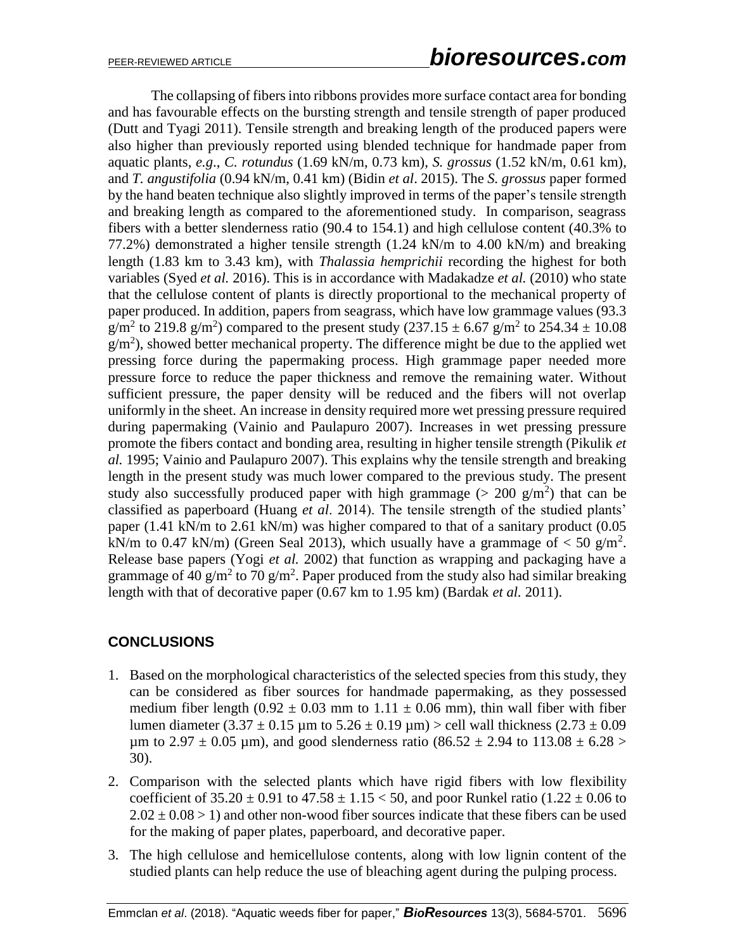The collapsing of fibers into ribbons provides more surface contact area for bonding and has favourable effects on the bursting strength and tensile strength of paper produced (Dutt and Tyagi 2011). Tensile strength and breaking length of the produced papers were also higher than previously reported using blended technique for handmade paper from aquatic plants, *e.g*., *C. rotundus* (1.69 kN/m, 0.73 km), *S. grossus* (1.52 kN/m, 0.61 km), and *T. angustifolia* (0.94 kN/m, 0.41 km) (Bidin *et al*. 2015). The *S. grossus* paper formed by the hand beaten technique also slightly improved in terms of the paper's tensile strength and breaking length as compared to the aforementioned study. In comparison, seagrass fibers with a better slenderness ratio (90.4 to 154.1) and high cellulose content (40.3% to 77.2%) demonstrated a higher tensile strength (1.24 kN/m to 4.00 kN/m) and breaking length (1.83 km to 3.43 km), with *Thalassia hemprichii* recording the highest for both variables (Syed *et al.* 2016). This is in accordance with Madakadze *et al.* (2010) who state that the cellulose content of plants is directly proportional to the mechanical property of paper produced. In addition, papers from seagrass, which have low grammage values (93.3  $g/m^2$  to 219.8  $g/m^2$ ) compared to the present study (237.15  $\pm$  6.67  $g/m^2$  to 254.34  $\pm$  10.08  $g/m<sup>2</sup>$ ), showed better mechanical property. The difference might be due to the applied wet pressing force during the papermaking process. High grammage paper needed more pressure force to reduce the paper thickness and remove the remaining water. Without sufficient pressure, the paper density will be reduced and the fibers will not overlap uniformly in the sheet. An increase in density required more wet pressing pressure required during papermaking (Vainio and Paulapuro 2007). Increases in wet pressing pressure promote the fibers contact and bonding area, resulting in higher tensile strength (Pikulik *et al.* 1995; Vainio and Paulapuro 2007). This explains why the tensile strength and breaking length in the present study was much lower compared to the previous study. The present study also successfully produced paper with high grammage ( $> 200$  g/m<sup>2</sup>) that can be classified as paperboard (Huang *et al*. 2014). The tensile strength of the studied plants' paper (1.41 kN/m to 2.61 kN/m) was higher compared to that of a sanitary product (0.05 kN/m to 0.47 kN/m) (Green Seal 2013), which usually have a grammage of  $<$  50 g/m<sup>2</sup>. Release base papers (Yogi *et al.* 2002) that function as wrapping and packaging have a grammage of 40 g/m<sup>2</sup> to 70 g/m<sup>2</sup>. Paper produced from the study also had similar breaking length with that of decorative paper (0.67 km to 1.95 km) (Bardak *et al.* 2011).

# **CONCLUSIONS**

- 1. Based on the morphological characteristics of the selected species from this study, they can be considered as fiber sources for handmade papermaking, as they possessed medium fiber length (0.92  $\pm$  0.03 mm to 1.11  $\pm$  0.06 mm), thin wall fiber with fiber lumen diameter  $(3.37 \pm 0.15 \,\mu\text{m}$  to  $5.26 \pm 0.19 \,\mu\text{m}$ ) > cell wall thickness  $(2.73 \pm 0.09 \,\mu\text{m})$ um to 2.97  $\pm$  0.05 um), and good slenderness ratio (86.52  $\pm$  2.94 to 113.08  $\pm$  6.28 > 30).
- 2. Comparison with the selected plants which have rigid fibers with low flexibility coefficient of  $35.20 \pm 0.91$  to  $47.58 \pm 1.15 < 50$ , and poor Runkel ratio  $(1.22 \pm 0.06$  to  $2.02 \pm 0.08 > 1$ ) and other non-wood fiber sources indicate that these fibers can be used for the making of paper plates, paperboard, and decorative paper.
- 3. The high cellulose and hemicellulose contents, along with low lignin content of the studied plants can help reduce the use of bleaching agent during the pulping process.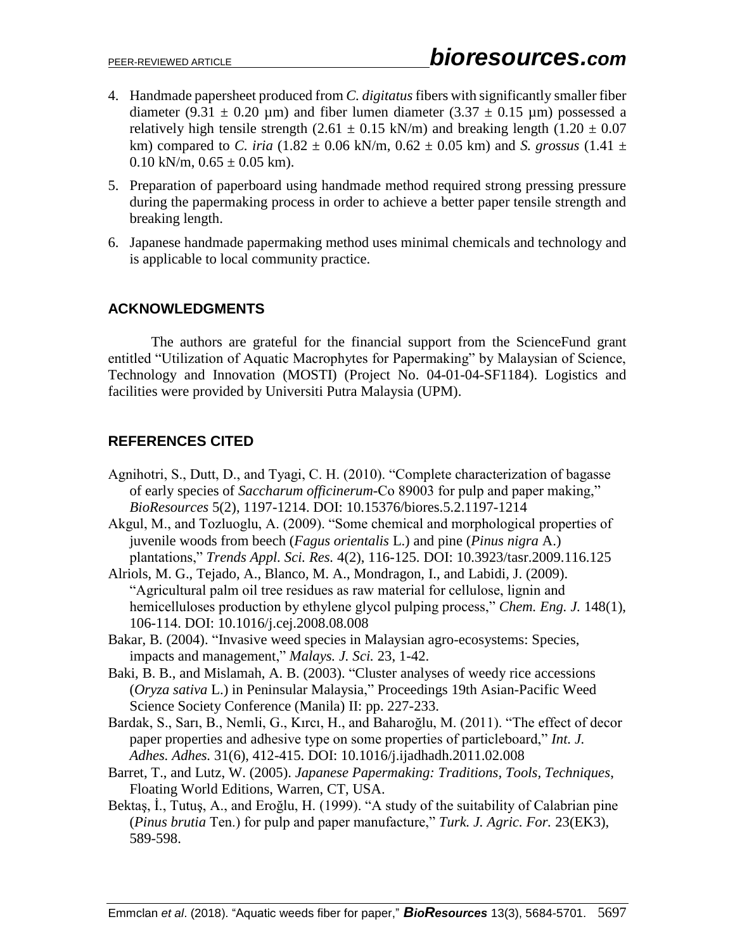- 4. Handmade papersheet produced from *C. digitatus* fibers with significantly smaller fiber diameter (9.31  $\pm$  0.20 µm) and fiber lumen diameter (3.37  $\pm$  0.15 µm) possessed a relatively high tensile strength (2.61  $\pm$  0.15 kN/m) and breaking length (1.20  $\pm$  0.07 km) compared to *C. iria*  $(1.82 \pm 0.06 \text{ kN/m}, 0.62 \pm 0.05 \text{ km})$  and *S. grossus*  $(1.41 \pm 0.05 \text{ km})$  $0.10 \text{ kN/m}, 0.65 \pm 0.05 \text{ km}$ .
- 5. Preparation of paperboard using handmade method required strong pressing pressure during the papermaking process in order to achieve a better paper tensile strength and breaking length.
- 6. Japanese handmade papermaking method uses minimal chemicals and technology and is applicable to local community practice.

## **ACKNOWLEDGMENTS**

The authors are grateful for the financial support from the ScienceFund grant entitled "Utilization of Aquatic Macrophytes for Papermaking" by Malaysian of Science, Technology and Innovation (MOSTI) (Project No. 04-01-04-SF1184). Logistics and facilities were provided by Universiti Putra Malaysia (UPM).

# **REFERENCES CITED**

- Agnihotri, S., Dutt, D., and Tyagi, C. H. (2010). "Complete characterization of bagasse of early species of *Saccharum officinerum*-Co 89003 for pulp and paper making," *BioResources* 5(2), 1197-1214. DOI: 10.15376/biores.5.2.1197-1214
- Akgul, M., and Tozluoglu, A. (2009). "Some chemical and morphological properties of juvenile woods from beech (*Fagus orientalis* L.) and pine (*Pinus nigra* A.) plantations," *Trends Appl. Sci. Res.* 4(2), 116-125. DOI: 10.3923/tasr.2009.116.125
- Alriols, M. G., Tejado, A., Blanco, M. A., Mondragon, I., and Labidi, J. (2009). "Agricultural palm oil tree residues as raw material for cellulose, lignin and hemicelluloses production by ethylene glycol pulping process," *Chem. Eng. J.* 148(1), 106-114. DOI: 10.1016/j.cej.2008.08.008
- Bakar, B. (2004). "Invasive weed species in Malaysian agro-ecosystems: Species, impacts and management," *Malays. J. Sci.* 23, 1-42.
- Baki, B. B., and Mislamah, A. B. (2003). "Cluster analyses of weedy rice accessions (*Oryza sativa* L.) in Peninsular Malaysia," Proceedings 19th Asian-Pacific Weed Science Society Conference (Manila) II: pp. 227-233.
- Bardak, S., Sarı, B., Nemli, G., Kırcı, H., and Baharoğlu, M. (2011). "The effect of decor paper properties and adhesive type on some properties of particleboard," *Int. J. Adhes. Adhes.* 31(6), 412-415. DOI: 10.1016/j.ijadhadh.2011.02.008
- Barret, T., and Lutz, W. (2005). *Japanese Papermaking: Traditions, Tools, Techniques*, Floating World Editions, Warren, CT, USA.
- Bektaş, İ., Tutuş, A., and Eroğlu, H. (1999). "A study of the suitability of Calabrian pine (*Pinus brutia* Ten.) for pulp and paper manufacture," *Turk. J. Agric. For.* 23(EK3), 589-598.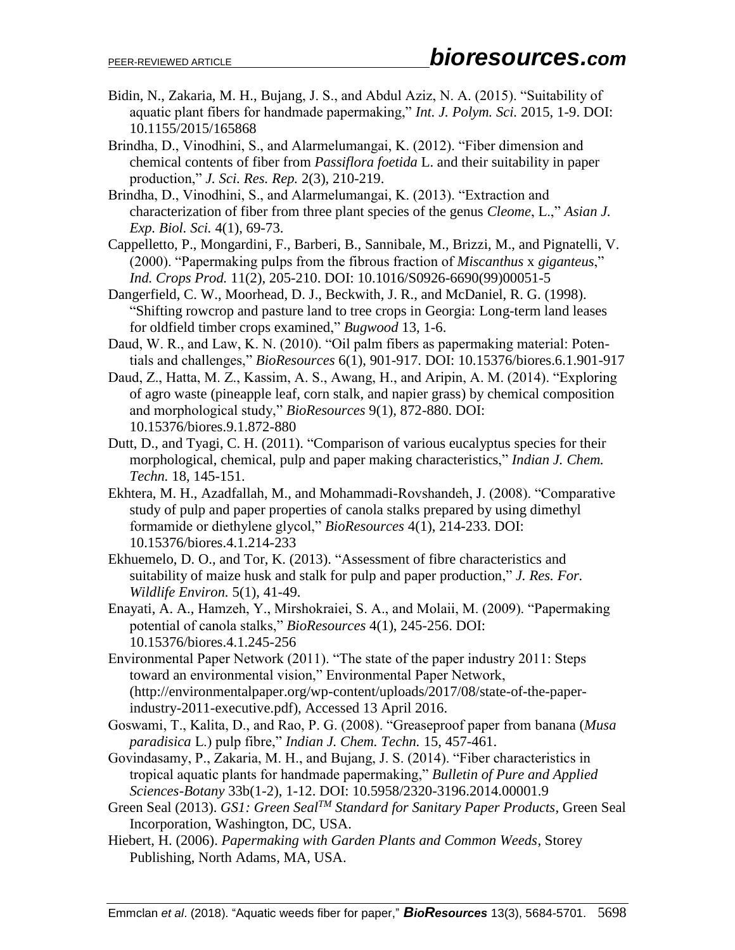- Bidin, N., Zakaria, M. H., Bujang, J. S., and Abdul Aziz, N. A. (2015). "Suitability of aquatic plant fibers for handmade papermaking," *Int. J. Polym. Sci.* 2015, 1-9. DOI: 10.1155/2015/165868
- Brindha, D., Vinodhini, S., and Alarmelumangai, K. (2012). "Fiber dimension and chemical contents of fiber from *Passiflora foetida* L. and their suitability in paper production," *J. Sci. Res. Rep.* 2(3), 210-219.
- Brindha, D., Vinodhini, S., and Alarmelumangai, K. (2013). "Extraction and characterization of fiber from three plant species of the genus *Cleome*, L.," *Asian J. Exp. Biol. Sci.* 4(1), 69-73.
- Cappelletto, P., Mongardini, F., Barberi, B., Sannibale, M., Brizzi, M., and Pignatelli, V. (2000). "Papermaking pulps from the fibrous fraction of *Miscanthus* x *giganteus*," *Ind. Crops Prod.* 11(2), 205-210. DOI: 10.1016/S0926-6690(99)00051-5
- Dangerfield, C. W., Moorhead, D. J., Beckwith, J. R., and McDaniel, R. G. (1998). "Shifting rowcrop and pasture land to tree crops in Georgia: Long-term land leases for oldfield timber crops examined," *Bugwood* 13, 1-6.
- Daud, W. R., and Law, K. N. (2010). "Oil palm fibers as papermaking material: Potentials and challenges," *BioResources* 6(1), 901-917. DOI: 10.15376/biores.6.1.901-917
- Daud, Z., Hatta, M. Z., Kassim, A. S., Awang, H., and Aripin, A. M. (2014). "Exploring of agro waste (pineapple leaf, corn stalk, and napier grass) by chemical composition and morphological study," *BioResources* 9(1), 872-880. DOI: 10.15376/biores.9.1.872-880
- Dutt, D., and Tyagi, C. H. (2011). "Comparison of various eucalyptus species for their morphological, chemical, pulp and paper making characteristics," *Indian J. Chem. Techn.* 18, 145-151.
- Ekhtera, M. H., Azadfallah, M., and Mohammadi-Rovshandeh, J. (2008). "Comparative study of pulp and paper properties of canola stalks prepared by using dimethyl formamide or diethylene glycol," *BioResources* 4(1), 214-233. DOI: 10.15376/biores.4.1.214-233
- Ekhuemelo, D. O., and Tor, K. (2013). "Assessment of fibre characteristics and suitability of maize husk and stalk for pulp and paper production," *J. Res. For. Wildlife Environ.* 5(1), 41-49.
- Enayati, A. A., Hamzeh, Y., Mirshokraiei, S. A., and Molaii, M. (2009). "Papermaking potential of canola stalks," *BioResources* 4(1), 245-256. DOI: 10.15376/biores.4.1.245-256
- Environmental Paper Network (2011). "The state of the paper industry 2011: Steps toward an environmental vision," Environmental Paper Network, (http://environmentalpaper.org/wp-content/uploads/2017/08/state-of-the-paperindustry-2011-executive.pdf), Accessed 13 April 2016.
- Goswami, T., Kalita, D., and Rao, P. G. (2008). "Greaseproof paper from banana (*Musa paradisica* L.) pulp fibre," *Indian J. Chem. Techn.* 15, 457-461.
- Govindasamy, P., Zakaria, M. H., and Bujang, J. S. (2014). "Fiber characteristics in tropical aquatic plants for handmade papermaking," *Bulletin of Pure and Applied Sciences-Botany* 33b(1-2), 1-12. DOI: 10.5958/2320-3196.2014.00001.9
- Green Seal (2013). *GS1: Green SealTM Standard for Sanitary Paper Products*, Green Seal Incorporation, Washington, DC, USA.
- Hiebert, H. (2006). *Papermaking with Garden Plants and Common Weeds*, Storey Publishing, North Adams, MA, USA.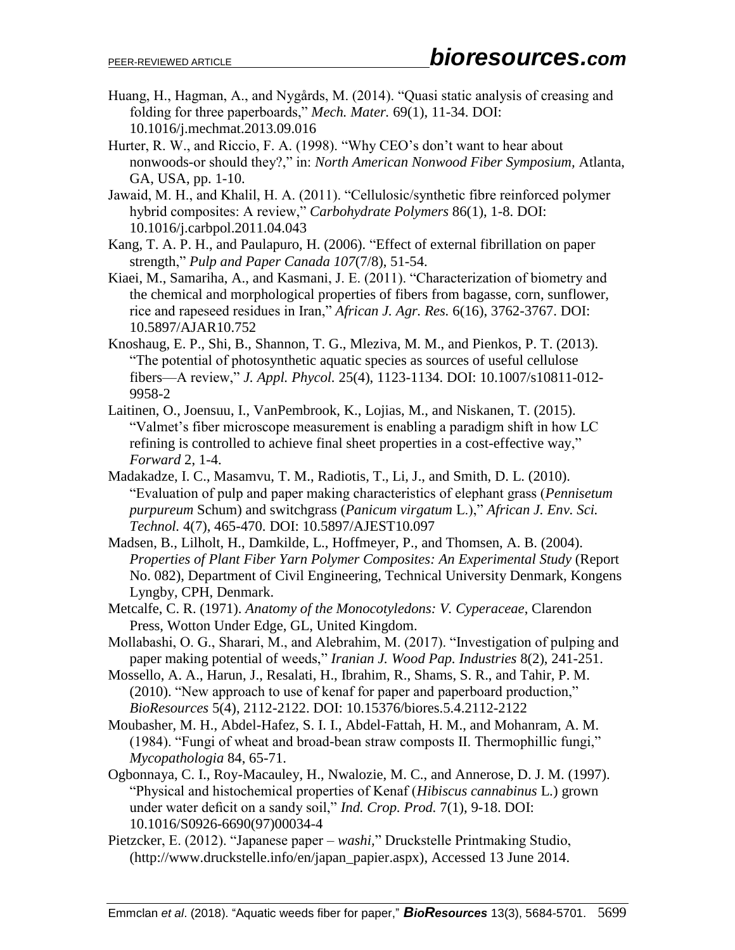- Huang, H., Hagman, A., and Nygårds, M. (2014). "Quasi static analysis of creasing and folding for three paperboards," *Mech. Mater.* 69(1), 11-34. DOI: 10.1016/j.mechmat.2013.09.016
- Hurter, R. W., and Riccio, F. A. (1998). "Why CEO's don't want to hear about nonwoods-or should they?," in: *North American Nonwood Fiber Symposium,* Atlanta, GA, USA, pp. 1-10.
- Jawaid, M. H., and Khalil, H. A. (2011). "Cellulosic/synthetic fibre reinforced polymer hybrid composites: A review," *Carbohydrate Polymers* 86(1), 1-8. DOI: 10.1016/j.carbpol.2011.04.043
- Kang, T. A. P. H., and Paulapuro, H. (2006). "Effect of external fibrillation on paper strength," *Pulp and Paper Canada 107*(7/8), 51-54.
- Kiaei, M., Samariha, A., and Kasmani, J. E. (2011). "Characterization of biometry and the chemical and morphological properties of fibers from bagasse, corn, sunflower, rice and rapeseed residues in Iran," *African J. Agr. Res.* 6(16), 3762-3767. DOI: 10.5897/AJAR10.752
- Knoshaug, E. P., Shi, B., Shannon, T. G., Mleziva, M. M., and Pienkos, P. T. (2013). "The potential of photosynthetic aquatic species as sources of useful cellulose fibers—A review," *J. Appl. Phycol.* 25(4), 1123-1134. DOI: 10.1007/s10811-012- 9958-2
- Laitinen, O., Joensuu, I., VanPembrook, K., Lojias, M., and Niskanen, T. (2015). "Valmet's fiber microscope measurement is enabling a paradigm shift in how LC refining is controlled to achieve final sheet properties in a cost-effective way," *Forward* 2, 1-4.
- Madakadze, I. C., Masamvu, T. M., Radiotis, T., Li, J., and Smith, D. L. (2010). "Evaluation of pulp and paper making characteristics of elephant grass (*Pennisetum purpureum* Schum) and switchgrass (*Panicum virgatum* L.)," *African J. Env. Sci. Technol.* 4(7), 465-470. DOI: 10.5897/AJEST10.097
- Madsen, B., Lilholt, H., Damkilde, L., Hoffmeyer, P., and Thomsen, A. B. (2004). *Properties of Plant Fiber Yarn Polymer Composites: An Experimental Study* (Report No. 082), Department of Civil Engineering, Technical University Denmark, Kongens Lyngby, CPH, Denmark.
- Metcalfe, C. R. (1971). *Anatomy of the Monocotyledons: V. Cyperaceae*, Clarendon Press, Wotton Under Edge, GL, United Kingdom.
- Mollabashi, O. G., Sharari, M., and Alebrahim, M. (2017). "Investigation of pulping and paper making potential of weeds," *Iranian J. Wood Pap. Industries* 8(2), 241-251.
- Mossello, A. A., Harun, J., Resalati, H., Ibrahim, R., Shams, S. R., and Tahir, P. M. (2010). "New approach to use of kenaf for paper and paperboard production," *BioResources* 5(4), 2112-2122. DOI: 10.15376/biores.5.4.2112-2122
- Moubasher, M. H., Abdel-Hafez, S. I. I., Abdel-Fattah, H. M., and Mohanram, A. M. (1984). "Fungi of wheat and broad-bean straw composts II. Thermophillic fungi," *Mycopathologia* 84, 65-71.
- Ogbonnaya, C. I., Roy-Macauley, H., Nwalozie, M. C., and Annerose, D. J. M. (1997). "Physical and histochemical properties of Kenaf (*Hibiscus cannabinus* L.) grown under water deficit on a sandy soil," *Ind. Crop. Prod.* 7(1), 9-18. DOI: 10.1016/S0926-6690(97)00034-4
- Pietzcker, E. (2012). "Japanese paper *washi,*" Druckstelle Printmaking Studio, (http://www.druckstelle.info/en/japan\_papier.aspx), Accessed 13 June 2014.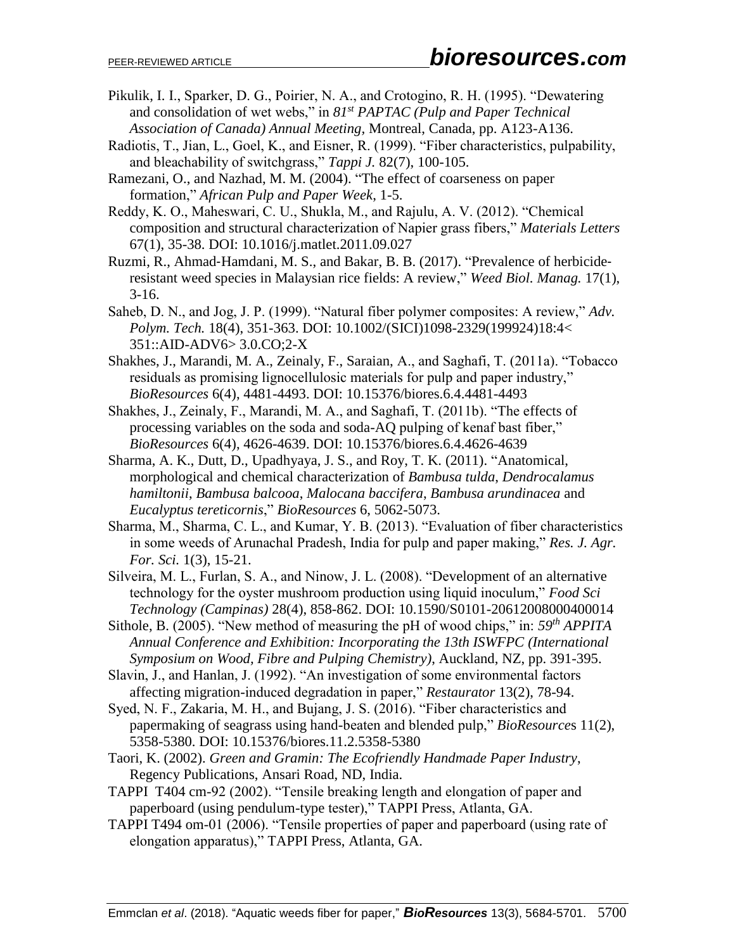- Pikulik, I. I., Sparker, D. G., Poirier, N. A., and Crotogino, R. H. (1995). "Dewatering and consolidation of wet webs," in *81st PAPTAC (Pulp and Paper Technical Association of Canada) Annual Meeting,* Montreal, Canada, pp. A123-A136.
- Radiotis, T., Jian, L., Goel, K., and Eisner, R. (1999). "Fiber characteristics, pulpability, and bleachability of switchgrass," *Tappi J.* 82(7), 100-105.
- Ramezani, O., and Nazhad, M. M. (2004). "The effect of coarseness on paper formation," *African Pulp and Paper Week*, 1-5.
- Reddy, K. O., Maheswari, C. U., Shukla, M., and Rajulu, A. V. (2012). "Chemical composition and structural characterization of Napier grass fibers," *Materials Letters* 67(1), 35-38. DOI: 10.1016/j.matlet.2011.09.027
- Ruzmi, R., Ahmad‐Hamdani, M. S., and Bakar, B. B. (2017). "Prevalence of herbicide‐ resistant weed species in Malaysian rice fields: A review," *Weed Biol. Manag.* 17(1), 3-16.
- Saheb, D. N., and Jog, J. P. (1999). "Natural fiber polymer composites: A review," *Adv. Polym. Tech.* 18(4), 351-363. DOI: 10.1002/(SICI)1098-2329(199924)18:4< 351::AID-ADV6> 3.0.CO;2-X
- Shakhes, J., Marandi, M. A., Zeinaly, F., Saraian, A., and Saghafi, T. (2011a). "Tobacco residuals as promising lignocellulosic materials for pulp and paper industry," *BioResources* 6(4), 4481-4493. DOI: 10.15376/biores.6.4.4481-4493
- Shakhes, J., Zeinaly, F., Marandi, M. A., and Saghafi, T. (2011b). "The effects of processing variables on the soda and soda-AQ pulping of kenaf bast fiber," *BioResources* 6(4), 4626-4639. DOI: 10.15376/biores.6.4.4626-4639
- Sharma, A. K., Dutt, D., Upadhyaya, J. S., and Roy, T. K. (2011). "Anatomical, morphological and chemical characterization of *Bambusa tulda*, *Dendrocalamus hamiltonii*, *Bambusa balcooa*, *Malocana baccifera*, *Bambusa arundinacea* and *Eucalyptus tereticornis*," *BioResources* 6, 5062-5073.
- Sharma, M., Sharma, C. L., and Kumar, Y. B. (2013). "Evaluation of fiber characteristics in some weeds of Arunachal Pradesh, India for pulp and paper making," *Res. J. Agr. For. Sci.* 1(3), 15-21.
- Silveira, M. L., Furlan, S. A., and Ninow, J. L. (2008). "Development of an alternative technology for the oyster mushroom production using liquid inoculum," *Food Sci Technology (Campinas)* 28(4), 858-862. DOI: 10.1590/S0101-20612008000400014
- Sithole, B. (2005). "New method of measuring the pH of wood chips," in: *59th APPITA Annual Conference and Exhibition: Incorporating the 13th ISWFPC (International Symposium on Wood, Fibre and Pulping Chemistry)*, Auckland, NZ, pp. 391-395.
- Slavin, J., and Hanlan, J. (1992). "An investigation of some environmental factors affecting migration-induced degradation in paper," *Restaurator* 13(2), 78-94.
- Syed, N. F., Zakaria, M. H., and Bujang, J. S. (2016). "Fiber characteristics and papermaking of seagrass using hand-beaten and blended pulp," *BioResource*s 11(2), 5358-5380. DOI: 10.15376/biores.11.2.5358-5380
- Taori, K. (2002). *Green and Gramin: The Ecofriendly Handmade Paper Industry*, Regency Publications, Ansari Road, ND, India.
- TAPPI T404 cm-92 (2002). "Tensile breaking length and elongation of paper and paperboard (using pendulum-type tester)," TAPPI Press, Atlanta, GA.
- TAPPI T494 om-01 (2006). "Tensile properties of paper and paperboard (using rate of elongation apparatus)," TAPPI Press, Atlanta, GA.